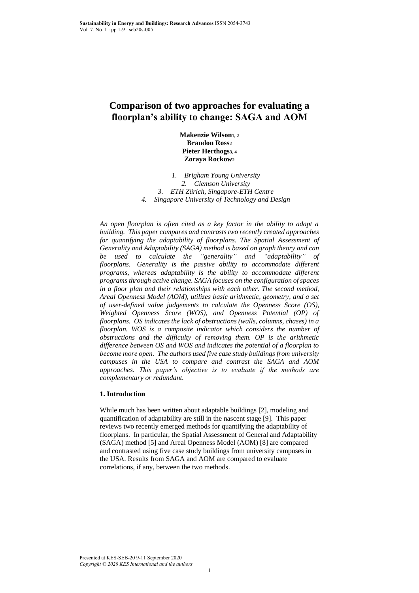# **Comparison of two approaches for evaluating a floorplan's ability to change: SAGA and AOM**

**Makenzie Wilson1, 2 Brandon Ross<sup>2</sup> Pieter Herthogs3, 4 Zoraya Rockow<sup>2</sup>**

*1. Brigham Young University 2. Clemson University 3. ETH Zürich, Singapore-ETH Centre 4. Singapore University of Technology and Design*

*An open floorplan is often cited as a key factor in the ability to adapt a building. This paper compares and contrasts two recently created approaches for quantifying the adaptability of floorplans. The Spatial Assessment of Generality and Adaptability (SAGA) method is based on graph theory and can be used to calculate the "generality" and "adaptability" of floorplans. Generality is the passive ability to accommodate different programs, whereas adaptability is the ability to accommodate different programs through active change. SAGA focuses on the configuration of spaces in a floor plan and their relationships with each other. The second method, Areal Openness Model (AOM), utilizes basic arithmetic, geometry, and a set of user-defined value judgements to calculate the Openness Score (OS), Weighted Openness Score (WOS), and Openness Potential (OP) of floorplans. OS indicates the lack of obstructions (walls, columns, chases) in a floorplan. WOS is a composite indicator which considers the number of obstructions and the difficulty of removing them. OP is the arithmetic difference between OS and WOS and indicates the potential of a floorplan to become more open. The authors used five case study buildings from university campuses in the USA to compare and contrast the SAGA and AOM approaches. This paper's objective is to evaluate if the methods are complementary or redundant.*

# **1. Introduction**

While much has been written about adaptable buildings [2], modeling and quantification of adaptability are still in the nascent stage [9]. This paper reviews two recently emerged methods for quantifying the adaptability of floorplans. In particular, the Spatial Assessment of General and Adaptability (SAGA) method [5] and Areal Openness Model (AOM) [8] are compared and contrasted using five case study buildings from university campuses in the USA. Results from SAGA and AOM are compared to evaluate correlations, if any, between the two methods.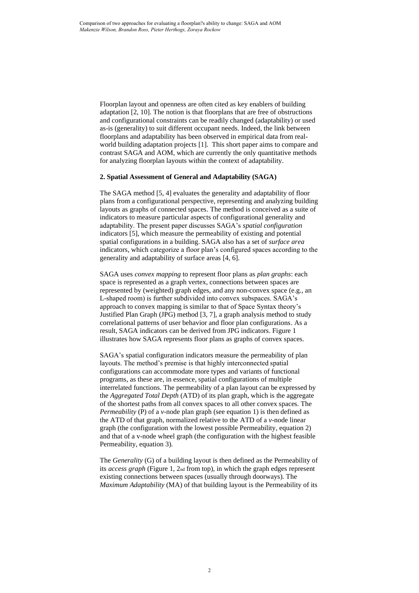Floorplan layout and openness are often cited as key enablers of building adaptation [2, 10]. The notion is that floorplans that are free of obstructions and configurational constraints can be readily changed (adaptability) or used as-is (generality) to suit different occupant needs. Indeed, the link between floorplans and adaptability has been observed in empirical data from realworld building adaptation projects [1]. This short paper aims to compare and contrast SAGA and AOM, which are currently the only quantitative methods for analyzing floorplan layouts within the context of adaptability.

### **2. Spatial Assessment of General and Adaptability (SAGA)**

The SAGA method [5, 4] evaluates the generality and adaptability of floor plans from a configurational perspective, representing and analyzing building layouts as graphs of connected spaces. The method is conceived as a suite of indicators to measure particular aspects of configurational generality and adaptability. The present paper discusses SAGA's *spatial configuration* indicators [5], which measure the permeability of existing and potential spatial configurations in a building. SAGA also has a set of *surface area* indicators, which categorize a floor plan's configured spaces according to the generality and adaptability of surface areas [4, 6].

SAGA uses *convex mapping* to represent floor plans as *plan graphs*: each space is represented as a graph vertex, connections between spaces are represented by (weighted) graph edges, and any non-convex space (e.g., an L-shaped room) is further subdivided into convex subspaces. SAGA's approach to convex mapping is similar to that of Space Syntax theory's Justified Plan Graph (JPG) method [3, 7], a graph analysis method to study correlational patterns of user behavior and floor plan configurations. As a result, SAGA indicators can be derived from JPG indicators. Figure 1 illustrates how SAGA represents floor plans as graphs of convex spaces.

SAGA's spatial configuration indicators measure the permeability of plan layouts. The method's premise is that highly interconnected spatial configurations can accommodate more types and variants of functional programs, as these are, in essence, spatial configurations of multiple interrelated functions. The permeability of a plan layout can be expressed by the *Aggregated Total Depth* (ATD) of its plan graph, which is the aggregate of the shortest paths from all convex spaces to all other convex spaces. The *Permeability* (P) of a *v*-node plan graph (see equation 1) is then defined as the ATD of that graph, normalized relative to the ATD of a *v*-node linear graph (the configuration with the lowest possible Permeability, equation 2) and that of a v-node wheel graph (the configuration with the highest feasible Permeability, equation 3).

The *Generality* (G) of a building layout is then defined as the Permeability of its *access graph* (Figure 1, 2nd from top), in which the graph edges represent existing connections between spaces (usually through doorways). The *Maximum Adaptability* (MA) of that building layout is the Permeability of its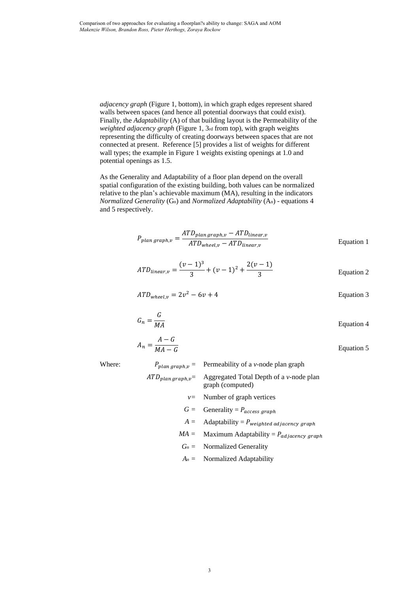*adjacency graph* (Figure 1, bottom), in which graph edges represent shared walls between spaces (and hence all potential doorways that could exist). Finally, the *Adaptability* (A) of that building layout is the Permeability of the *weighted adjacency graph* (Figure 1, 3rd from top), with graph weights representing the difficulty of creating doorways between spaces that are not connected at present. Reference [5] provides a list of weights for different wall types; the example in Figure 1 weights existing openings at 1.0 and potential openings as 1.5.

As the Generality and Adaptability of a floor plan depend on the overall spatial configuration of the existing building, both values can be normalized relative to the plan's achievable maximum (MA), resulting in the indicators *Normalized Generality* (Gn) and *Normalized Adaptability* (An) - equations 4 and 5 respectively.

$$
P_{plan\,graph,v} = \frac{ATD_{plan\,graph,v} - ATD_{linear,v}}{ATD_{wheel,v} - ATD_{linear,v}}
$$
 Equation 1

$$
ATD_{linear,v} = \frac{(v-1)^3}{3} + (v-1)^2 + \frac{2(v-1)}{3}
$$
 Equation 2

$$
ATD_{wheel,\nu} = 2v^2 - 6v + 4
$$
 Equation 3

$$
G_n = \frac{G}{MA}
$$
 Equation 4

$$
A_n = \frac{A - G}{MA - G}
$$
 Equation 5

Where:

\n
$$
P_{plan\,graph,v} = \text{Permeability of a } v\text{-node plan graph}
$$
\n
$$
ATD_{plan\,graph,v} = \text{Aggregated Total Depth of a } v\text{-node plan graph (computed)}
$$
\n
$$
v = \text{Number of graph vertices}
$$
\n
$$
G = \text{Generally} = P_{access\,graph}
$$
\n
$$
A = \text{Adaptability} = P_{weighted\,aljacency\,graph}
$$
\n
$$
MA = \text{Maximum Adaptability} = P_{adi\,acency\,graph}
$$
\n
$$
G_n = \text{Normalized Generality}
$$
\n
$$
A_n = \text{Normalized Adaptability}
$$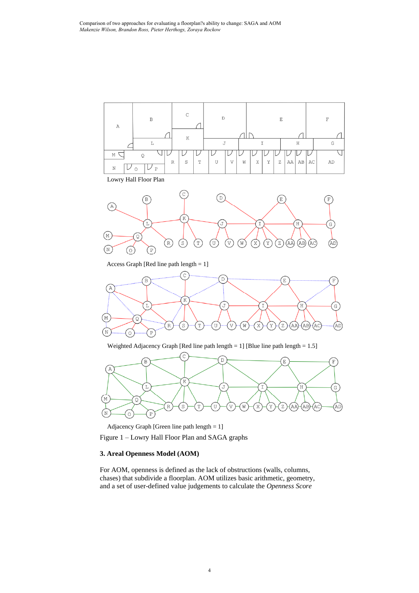

Figure 1 – Lowry Hall Floor Plan and SAGA graphs Adjacency Graph [Green line path length <sup>=</sup> 1]

## **3. Areal Openness Model (AOM)**

For AOM, openness is defined as the lack of obstructions (walls, columns, chases) that subdivide a floorplan. AOM utilizes basic arithmetic, geometry, and a set of user-defined value judgements to calculate the *Openness Score*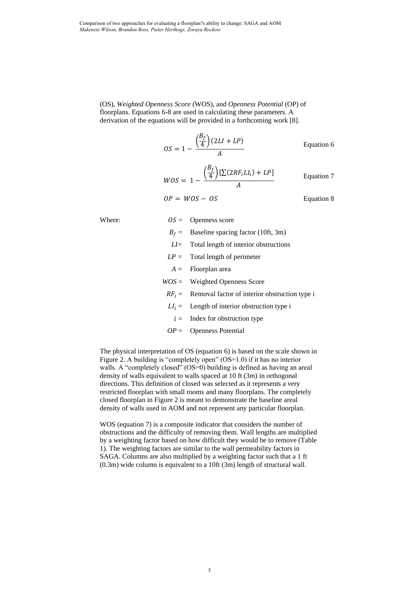(OS), *Weighted Openness Score* (WOS), and *Openness Potential* (OP) of floorplans. Equations 6-8 are used in calculating these parameters. A derivation of the equations will be provided in a forthcoming work [8].

$$
OS = 1 - \frac{\left(\frac{B_f}{4}\right)(2LI + LP)}{A}
$$
 Equation 6  

$$
WOS = 1 - \frac{\left(\frac{B_f}{4}\right)[\sum(2RF_iLI_i) + LP]}{A}
$$
 Equation 7  

$$
OP = WOS - OS
$$
 Equation 8

Where:  $OS = Op$ enness score

| $B_f$ = Baseline spacing factor (10ft, 3m) |
|--------------------------------------------|
| $LI$ Total length of interior obstructions |
| $LP =$ Total length of perimeter           |
| $A =$ Floorplan area                       |
| $WOS =$ Weighted Openness Score            |
|                                            |

- $RF_i =$  Removal factor of interior obstruction type i
- $LI_i =$  Length of interior obstruction type i
- $i =$  Index for obstruction type
- *OP* = Openness Potential

The physical interpretation of OS (equation 6) is based on the scale shown in Figure 2. A building is "completely open" (OS=1.0) if it has no interior walls. A "completely closed" (OS=0) building is defined as having an areal density of walls equivalent to walls spaced at 10 ft (3m) in orthogonal directions. This definition of closed was selected as it represents a very restricted floorplan with small rooms and many floorplans. The completely closed floorplan in Figure 2 is meant to demonstrate the baseline areal density of walls used in AOM and not represent any particular floorplan.

WOS (equation 7) is a composite indicator that considers the number of obstructions and the difficulty of removing them. Wall lengths are multiplied by a weighting factor based on how difficult they would be to remove (Table 1). The weighting factors are similar to the wall permeability factors in SAGA. Columns are also multiplied by a weighting factor such that a 1 ft (0.3m) wide column is equivalent to a 10ft (3m) length of structural wall.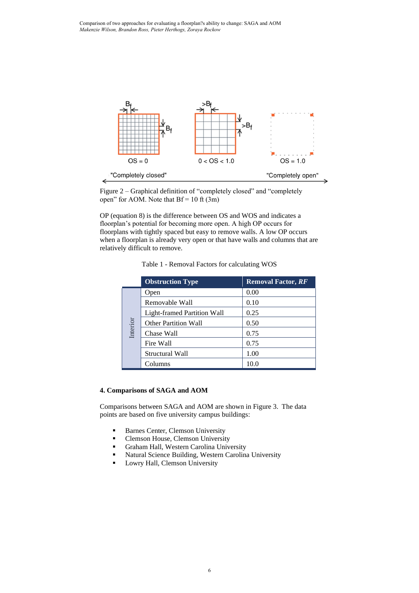

Figure 2 – Graphical definition of "completely closed" and "completely open" for AOM. Note that  $Bf = 10$  ft (3m)

OP (equation 8) is the difference between OS and WOS and indicates a floorplan's potential for becoming more open. A high OP occurs for floorplans with tightly spaced but easy to remove walls. A low OP occurs when a floorplan is already very open or that have walls and columns that are relatively difficult to remove.

Table 1 - Removal Factors for calculating WOS

|          | <b>Obstruction Type</b>     | <b>Removal Factor, RF</b> |
|----------|-----------------------------|---------------------------|
| Interior | Open                        | 0.00                      |
|          | Removable Wall              | 0.10                      |
|          | Light-framed Partition Wall | 0.25                      |
|          | <b>Other Partition Wall</b> | 0.50                      |
|          | Chase Wall                  | 0.75                      |
|          | Fire Wall                   | 0.75                      |
|          | Structural Wall             | 1.00                      |
|          | Columns                     | 10.0                      |

## **4. Comparisons of SAGA and AOM**

Comparisons between SAGA and AOM are shown in Figure 3. The data points are based on five university campus buildings:

- Barnes Center, Clemson University
- Clemson House, Clemson University
- **Graham Hall, Western Carolina University**
- Natural Science Building, Western Carolina University
- Lowry Hall, Clemson University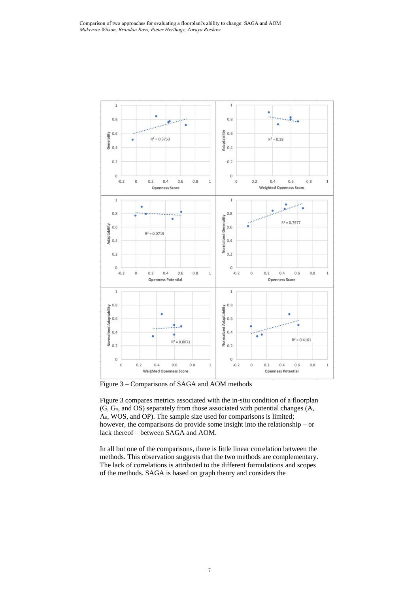

Figure 3 – Comparisons of SAGA and AOM methods

Figure 3 compares metrics associated with the in-situ condition of a floorplan (G, Gn, and OS) separately from those associated with potential changes (A, An, WOS, and OP). The sample size used for comparisons is limited; however, the comparisons do provide some insight into the relationship – or lack thereof – between SAGA and AOM.

In all but one of the comparisons, there is little linear correlation between the methods. This observation suggests that the two methods are complementary. The lack of correlations is attributed to the different formulations and scopes of the methods. SAGA is based on graph theory and considers the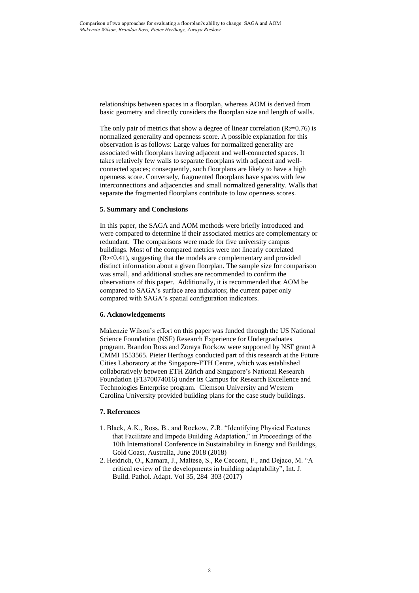relationships between spaces in a floorplan, whereas AOM is derived from basic geometry and directly considers the floorplan size and length of walls.

The only pair of metrics that show a degree of linear correlation  $(R<sub>2</sub>=0.76)$  is normalized generality and openness score. A possible explanation for this observation is as follows: Large values for normalized generality are associated with floorplans having adjacent and well-connected spaces. It takes relatively few walls to separate floorplans with adjacent and wellconnected spaces; consequently, such floorplans are likely to have a high openness score. Conversely, fragmented floorplans have spaces with few interconnections and adjacencies and small normalized generality. Walls that separate the fragmented floorplans contribute to low openness scores.

#### **5. Summary and Conclusions**

In this paper, the SAGA and AOM methods were briefly introduced and were compared to determine if their associated metrics are complementary or redundant. The comparisons were made for five university campus buildings. Most of the compared metrics were not linearly correlated (R2<0.41), suggesting that the models are complementary and provided distinct information about a given floorplan. The sample size for comparison was small, and additional studies are recommended to confirm the observations of this paper. Additionally, it is recommended that AOM be compared to SAGA's surface area indicators; the current paper only compared with SAGA's spatial configuration indicators.

#### **6. Acknowledgements**

Makenzie Wilson's effort on this paper was funded through the US National Science Foundation (NSF) Research Experience for Undergraduates program. Brandon Ross and Zoraya Rockow were supported by NSF grant # CMMI 1553565. Pieter Herthogs conducted part of this research at the Future Cities Laboratory at the Singapore-ETH Centre, which was established collaboratively between ETH Zürich and Singapore's National Research Foundation (F1370074016) under its Campus for Research Excellence and Technologies Enterprise program. Clemson University and Western Carolina University provided building plans for the case study buildings.

## **7. References**

- 1. Black, A.K., Ross, B., and Rockow, Z.R. "Identifying Physical Features that Facilitate and Impede Building Adaptation," in Proceedings of the 10th International Conference in Sustainability in Energy and Buildings, Gold Coast, Australia, June 2018 (2018)
- 2. Heidrich, O., Kamara, J., Maltese, S., Re Cecconi, F., and Dejaco, M. "A critical review of the developments in building adaptability", Int. J. Build. Pathol. Adapt. Vol 35, 284–303 (2017)